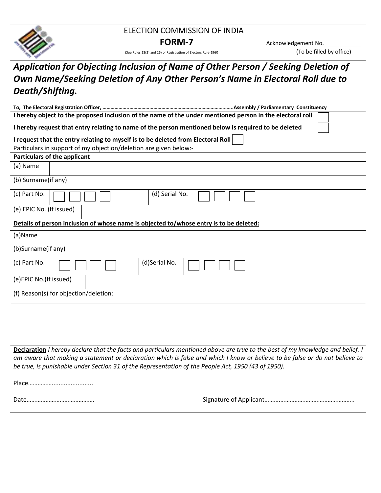

## ELECTION COMMISSION OF INDIA

(See Rules 13(2) and 26) of Registration of Electors Rule-1960

**FORM-7** Acknowledgement No. The sensity of Registration of Electors Rule-1960<br>
6) of Registration of Electors Rule-1960

## *Application for Objecting Inclusion of Name of Other Person / Seeking Deletion of Own Name/Seeking Deletion of Any Other Person's Name in Electoral Roll due to Death/Shifting.*

| I hereby object to the proposed inclusion of the name of the under mentioned person in the electoral roll                                                                                                                                                                                                                                                            |  |  |  |  |  |  |  |  |
|----------------------------------------------------------------------------------------------------------------------------------------------------------------------------------------------------------------------------------------------------------------------------------------------------------------------------------------------------------------------|--|--|--|--|--|--|--|--|
| I hereby request that entry relating to name of the person mentioned below is required to be deleted                                                                                                                                                                                                                                                                 |  |  |  |  |  |  |  |  |
| I request that the entry relating to myself is to be deleted from Electoral Roll                                                                                                                                                                                                                                                                                     |  |  |  |  |  |  |  |  |
| Particulars in support of my objection/deletion are given below:-                                                                                                                                                                                                                                                                                                    |  |  |  |  |  |  |  |  |
| <b>Particulars of the applicant</b>                                                                                                                                                                                                                                                                                                                                  |  |  |  |  |  |  |  |  |
| (a) Name                                                                                                                                                                                                                                                                                                                                                             |  |  |  |  |  |  |  |  |
| (b) Surname(if any)                                                                                                                                                                                                                                                                                                                                                  |  |  |  |  |  |  |  |  |
| (c) Part No.<br>(d) Serial No.                                                                                                                                                                                                                                                                                                                                       |  |  |  |  |  |  |  |  |
| (e) EPIC No. (If issued)                                                                                                                                                                                                                                                                                                                                             |  |  |  |  |  |  |  |  |
| Details of person inclusion of whose name is objected to/whose entry is to be deleted:                                                                                                                                                                                                                                                                               |  |  |  |  |  |  |  |  |
| (a)Name                                                                                                                                                                                                                                                                                                                                                              |  |  |  |  |  |  |  |  |
| (b)Surname(if any)                                                                                                                                                                                                                                                                                                                                                   |  |  |  |  |  |  |  |  |
| (c) Part No.<br>(d)Serial No.                                                                                                                                                                                                                                                                                                                                        |  |  |  |  |  |  |  |  |
| (e)EPIC No.(If issued)                                                                                                                                                                                                                                                                                                                                               |  |  |  |  |  |  |  |  |
| (f) Reason(s) for objection/deletion:                                                                                                                                                                                                                                                                                                                                |  |  |  |  |  |  |  |  |
|                                                                                                                                                                                                                                                                                                                                                                      |  |  |  |  |  |  |  |  |
|                                                                                                                                                                                                                                                                                                                                                                      |  |  |  |  |  |  |  |  |
|                                                                                                                                                                                                                                                                                                                                                                      |  |  |  |  |  |  |  |  |
| Declaration I hereby declare that the facts and particulars mentioned above are true to the best of my knowledge and belief. I<br>am aware that making a statement or declaration which is false and which I know or believe to be false or do not believe to<br>be true, is punishable under Section 31 of the Representation of the People Act, 1950 (43 of 1950). |  |  |  |  |  |  |  |  |
|                                                                                                                                                                                                                                                                                                                                                                      |  |  |  |  |  |  |  |  |
|                                                                                                                                                                                                                                                                                                                                                                      |  |  |  |  |  |  |  |  |